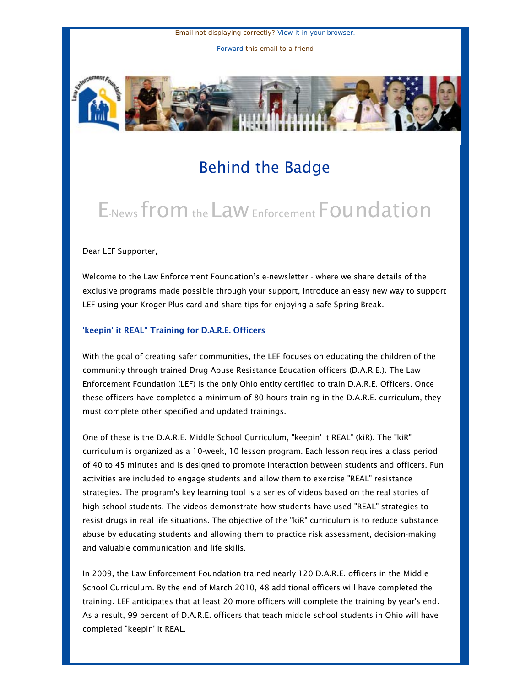Email not displaying correctly? [View it in your browser.](http://us1.campaign-archive.com/?u=cae15d65024df1c29f350ea33&id=1695912e0e&e=5e0af12557) [Forward](http://us1.forward-to-friend.com/forward?u=cae15d65024df1c29f350ea33&id=1695912e0e&e=5e0af12557) this email to a friend



## Behind the Badge

# E-News from the Law Enforcement Foundation

#### Dear LEF Supporter,

Welcome to the Law Enforcement Foundation's e-newsletter - where we share details of the exclusive programs made possible through your support, introduce an easy new way to support LEF using your Kroger Plus card and share tips for enjoying a safe Spring Break.

#### 'keepin' it REAL" Training for D.A.R.E. Officers

With the goal of creating safer communities, the LEF focuses on educating the children of the community through trained Drug Abuse Resistance Education officers (D.A.R.E.). The Law Enforcement Foundation (LEF) is the only Ohio entity certified to train D.A.R.E. Officers. Once these officers have completed a minimum of 80 hours training in the D.A.R.E. curriculum, they must complete other specified and updated trainings.

One of these is the D.A.R.E. Middle School Curriculum, "keepin' it REAL" (kiR). The "kiR" curriculum is organized as a 10-week, 10 lesson program. Each lesson requires a class period of 40 to 45 minutes and is designed to promote interaction between students and officers. Fun activities are included to engage students and allow them to exercise "REAL" resistance strategies. The program's key learning tool is a series of videos based on the real stories of high school students. The videos demonstrate how students have used "REAL" strategies to resist drugs in real life situations. The objective of the "kiR" curriculum is to reduce substance abuse by educating students and allowing them to practice risk assessment, decision-making and valuable communication and life skills.

In 2009, the Law Enforcement Foundation trained nearly 120 D.A.R.E. officers in the Middle School Curriculum. By the end of March 2010, 48 additional officers will have completed the training. LEF anticipates that at least 20 more officers will complete the training by year's end. As a result, 99 percent of D.A.R.E. officers that teach middle school students in Ohio will have completed "keepin' it REAL.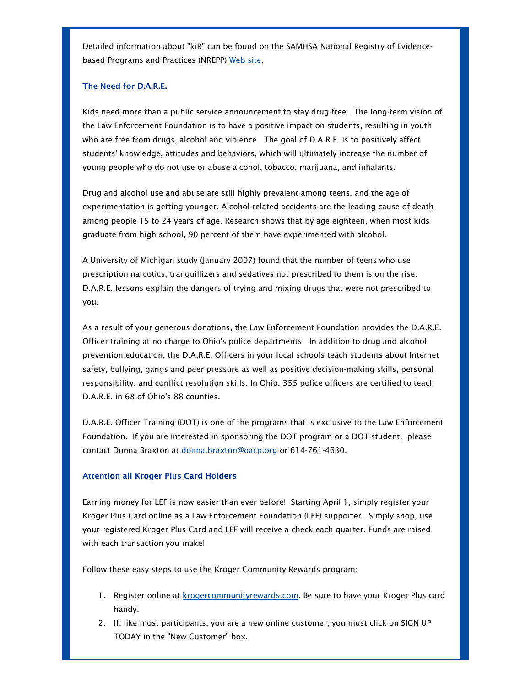Detailed information about "kiR" can be found on the SAMHSA National Registry of Evidence-based Programs and Practices (NREPP) [Web site](http://lef-oh.us1.list-manage.com/track/click?u=cae15d65024df1c29f350ea33&id=937e96ee96&e=5e0af12557).

### The Need for D.A.R.E.

Kids need more than a public service announcement to stay drug-free. The long-term vision of the Law Enforcement Foundation is to have a positive impact on students, resulting in youth who are free from drugs, alcohol and violence. The goal of D.A.R.E. is to positively affect students' knowledge, attitudes and behaviors, which will ultimately increase the number of young people who do not use or abuse alcohol, tobacco, marijuana, and inhalants.

Drug and alcohol use and abuse are still highly prevalent among teens, and the age of experimentation is getting younger. Alcohol-related accidents are the leading cause of death among people 15 to 24 years of age. Research shows that by age eighteen, when most kids graduate from high school, 90 percent of them have experimented with alcohol.

A University of Michigan study (January 2007) found that the number of teens who use prescription narcotics, tranquillizers and sedatives not prescribed to them is on the rise. D.A.R.E. lessons explain the dangers of trying and mixing drugs that were not prescribed to you.

As a result of your generous donations, the Law Enforcement Foundation provides the D.A.R.E. Officer training at no charge to Ohio's police departments. In addition to drug and alcohol prevention education, the D.A.R.E. Officers in your local schools teach students about Internet safety, bullying, gangs and peer pressure as well as positive decision-making skills, personal responsibility, and conflict resolution skills. In Ohio, 355 police officers are certified to teach D.A.R.E. in 68 of Ohio's 88 counties.

D.A.R.E. Officer Training (DOT) is one of the programs that is exclusive to the Law Enforcement Foundation. If you are interested in sponsoring the DOT program or a DOT student, please contact Donna Braxton at [donna.braxton@oacp.org](mailto:donna.braxton@oacp.org;) or 614-761-4630.

#### Attention all Kroger Plus Card Holders

Earning money for LEF is now easier than ever before! Starting April 1, simply register your Kroger Plus Card online as a Law Enforcement Foundation (LEF) supporter. Simply shop, use your registered Kroger Plus Card and LEF will receive a check each quarter. Funds are raised with each transaction you make!

Follow these easy steps to use the Kroger Community Rewards program:

- 1. Register online at [krogercommunityrewards.com](http://lef-oh.us1.list-manage.com/track/click?u=cae15d65024df1c29f350ea33&id=3defbedbc7&e=5e0af12557). Be sure to have your Kroger Plus card handy.
- 2. If, like most participants, you are a new online customer, you must click on SIGN UP TODAY in the "New Customer" box.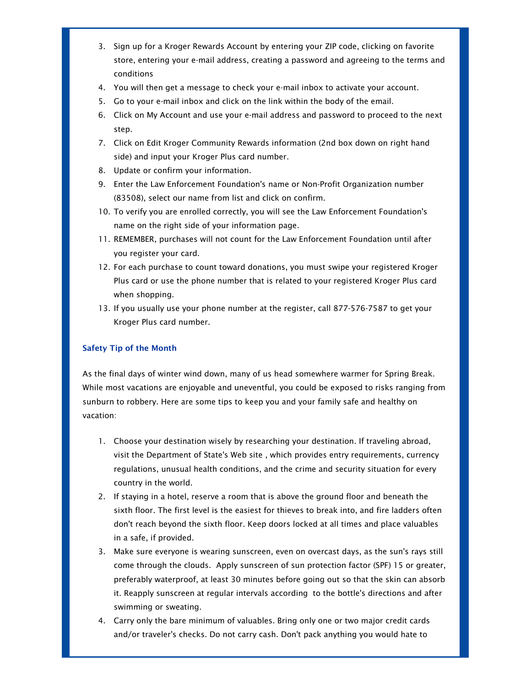- 3. Sign up for a Kroger Rewards Account by entering your ZIP code, clicking on favorite store, entering your e-mail address, creating a password and agreeing to the terms and conditions
- 4. You will then get a message to check your e-mail inbox to activate your account.
- 5. Go to your e-mail inbox and click on the link within the body of the email.
- 6. Click on My Account and use your e-mail address and password to proceed to the next step.
- 7. Click on Edit Kroger Community Rewards information (2nd box down on right hand side) and input your Kroger Plus card number.
- 8. Update or confirm your information.
- 9. Enter the Law Enforcement Foundation's name or Non-Profit Organization number (83508), select our name from list and click on confirm.
- 10. To verify you are enrolled correctly, you will see the Law Enforcement Foundation's name on the right side of your information page.
- 11. REMEMBER, purchases will not count for the Law Enforcement Foundation until after you register your card.
- 12. For each purchase to count toward donations, you must swipe your registered Kroger Plus card or use the phone number that is related to your registered Kroger Plus card when shopping.
- 13. If you usually use your phone number at the register, call 877-576-7587 to get your Kroger Plus card number.

### Safety Tip of the Month

As the final days of winter wind down, many of us head somewhere warmer for Spring Break. While most vacations are enjoyable and uneventful, you could be exposed to risks ranging from sunburn to robbery. Here are some tips to keep you and your family safe and healthy on vacation:

- 1. Choose your destination wisely by researching your destination. If traveling abroad, visit the Department of State's Web site , which provides entry requirements, currency regulations, unusual health conditions, and the crime and security situation for every country in the world.
- 2. If staying in a hotel, reserve a room that is above the ground floor and beneath the sixth floor. The first level is the easiest for thieves to break into, and fire ladders often don't reach beyond the sixth floor. Keep doors locked at all times and place valuables in a safe, if provided.
- 3. Make sure everyone is wearing sunscreen, even on overcast days, as the sun's rays still come through the clouds. Apply sunscreen of sun protection factor (SPF) 15 or greater, preferably waterproof, at least 30 minutes before going out so that the skin can absorb it. Reapply sunscreen at regular intervals according to the bottle's directions and after swimming or sweating.
- 4. Carry only the bare minimum of valuables. Bring only one or two major credit cards and/or traveler's checks. Do not carry cash. Don't pack anything you would hate to